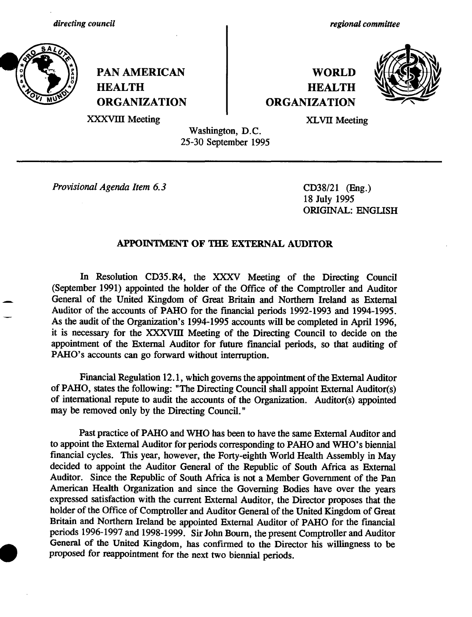

PAN AMERICAN NORLD **HEALTH HEALTH ORGANIZATION ORGANIZATION**

*regional committee*



XXXVIII Meeting XLVII Meeting

Washington, D.C. 25-30 September 1995

*Provisional Agenda Item 6.3* CD38/21 (Eng.)

18 July 1995 ORIGINAL: ENGLISH

# **APPOINTMENT OF THE EXTERNAL AUDITOR**

In Resolution CD35.R4, the XXXV Meeting of the Directing Council (September 1991) appointed the holder of the Office of the Comptroller and Auditor General of the United Kingdom of Great Britain and Northern Ireland as External Auditor of the accounts of PAHO for the financial periods 1992-1993 and 1994-1995. As the audit of the Organization's 1994-1995 accounts will be completed in April 1996, it is necessary for the XXXVIII Meeting of the Directing Council to decide on the appointment of the External Auditor for future financial periods, so that auditing of PAHO's accounts can go forward without interruption.

Financial Regulation 12.1, which governs the appointment of the External Auditor of PAHO, states the following: "The Directing Council shall appoint External Auditor(s) of international repute to audit the accounts of the Organization. Auditor(s) appointed may be removed only by the Directing Council."

Past practice of PAHO and WHO has been to have the same External Auditor and to appoint the External Auditor for periods corresponding to PAHO and WHO's biennial financial cycles. This year, however, the Forty-eighth World Health Assembly in May decided to appoint the Auditor General of the Republic of South Africa as External Auditor. Since the Republic of South Africa is not a Member Government of the Pan American Health Organization and since the Governing Bodies have over the years expressed satisfaction with the current External Auditor, the Director proposes that the holder of the Office of Comptroller and Auditor General of the United Kingdom of Great Britain and Northern Ireland be appointed External Auditor of PAHO for the financial periods 1996-1997 and 1998-1999. Sir John Bourn, the present Comptroller and Auditor General of the United Kingdom, has confirmed to the Director his willingness to be proposed for reappointment for the next two biennial periods.